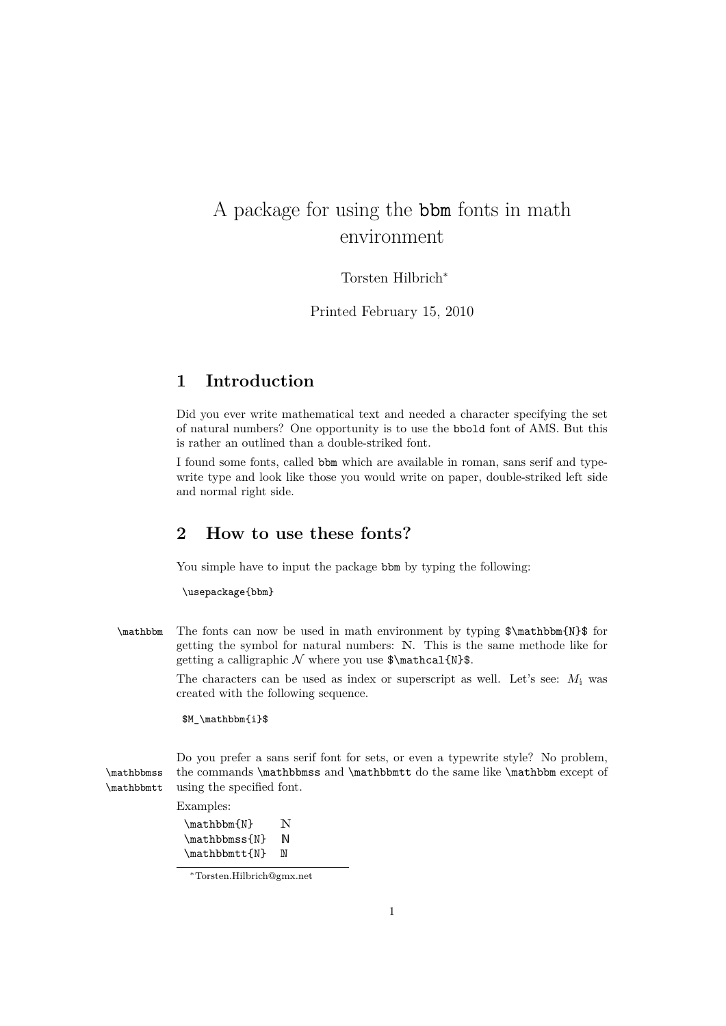# A package for using the bbm fonts in math environment

Torsten Hilbrich*<sup>∗</sup>*

Printed February 15, 2010

### **1 Introduction**

Did you ever write mathematical text and needed a character specifying the set of natural numbers? One opportunity is to use the bbold font of AMS. But this is rather an outlined than a double-striked font.

I found some fonts, called bbm which are available in roman, sans serif and typewrite type and look like those you would write on paper, double-striked left side and normal right side.

### **2 How to use these fonts?**

You simple have to input the package bbm by typing the following:

\usepackage{bbm}

\mathbbm The fonts can now be used in math environment by typing \$\mathbbm{N}\$ for getting the symbol for natural numbers: N. This is the same methode like for getting a calligraphic  $N$  where you use  $\mathcal{N}\$ .

> The characters can be used as index or superscript as well. Let's see:  $M_i$  was created with the following sequence.

\$M\_\mathbbm{i}\$

Do you prefer a sans serif font for sets, or even a typewrite style? No problem, \mathbbmss the commands \mathbbmss and \mathbbmtt do the same like \mathbbm except of \mathbbmtt using the specified font.

Examples:

| \mathbbm{N}   | N |
|---------------|---|
| \mathbbmss{N} | M |
| \mathbbmtt{N} | M |

*<sup>∗</sup>*Torsten.Hilbrich@gmx.net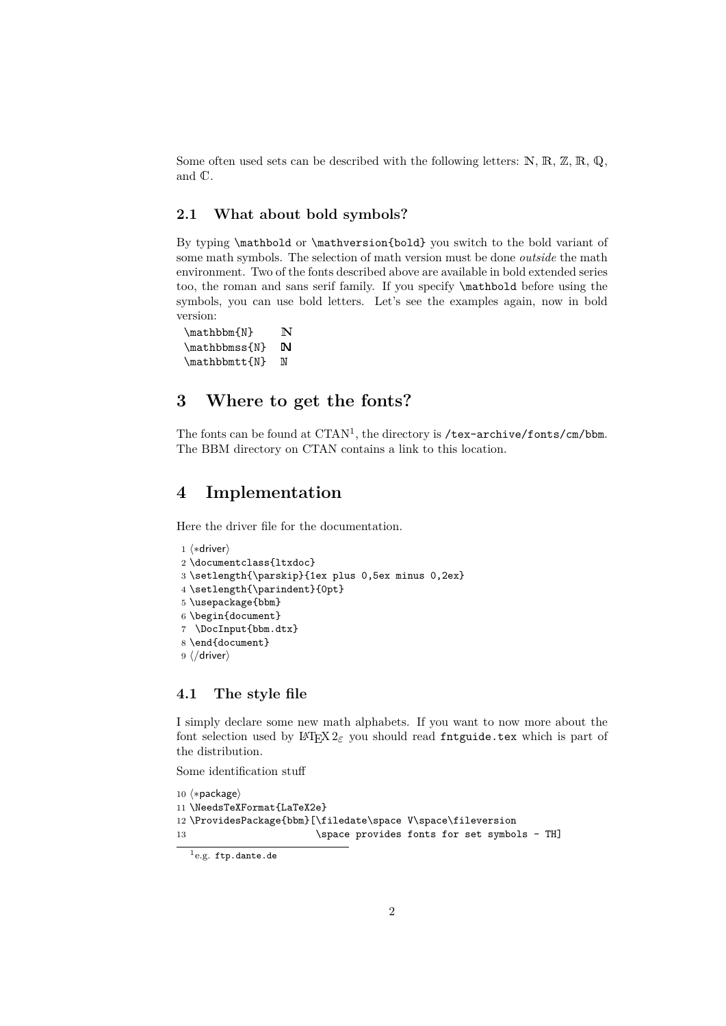Some often used sets can be described with the following letters:  $\mathbb{N}, \mathbb{R}, \mathbb{Z}, \mathbb{R}, \mathbb{Q},$ and C.

#### **2.1 What about bold symbols?**

By typing \mathbold or \mathversion{bold} you switch to the bold variant of some math symbols. The selection of math version must be done *outside* the math environment. Two of the fonts described above are available in bold extended series too, the roman and sans serif family. If you specify \mathbold before using the symbols, you can use bold letters. Let's see the examples again, now in bold version:

 $\mathbb{N}$  N \mathbbmss{N} N \mathbbmtt{N} N

## **3 Where to get the fonts?**

The fonts can be found at CTAN<sup>1</sup>, the directory is /tex-archive/fonts/cm/bbm. The BBM directory on CTAN contains a link to this location.

### **4 Implementation**

Here the driver file for the documentation.

```
1 \langle *divier \rangle2 \documentclass{ltxdoc}
3 \setlength{\parskip}{1ex plus 0,5ex minus 0,2ex}
4 \setlength{\parindent}{0pt}
5 \usepackage{bbm}
6 \begin{document}
7 \DocInput{bbm.dtx}
8 \end{document}
9 h/driveri
```
#### **4.1 The style file**

I simply declare some new math alphabets. If you want to now more about the font selection used by  $\text{LATEX } 2\varepsilon$  you should read fntguide.tex which is part of the distribution.

Some identification stuff

```
10 h∗packagei
11 \NeedsTeXFormat{LaTeX2e}
12 \ProvidesPackage{bbm}[\filedate\space V\space\fileversion
13 \space provides fonts for set symbols - TH]
```
 $^{1}$ e.g. ftp.dante.de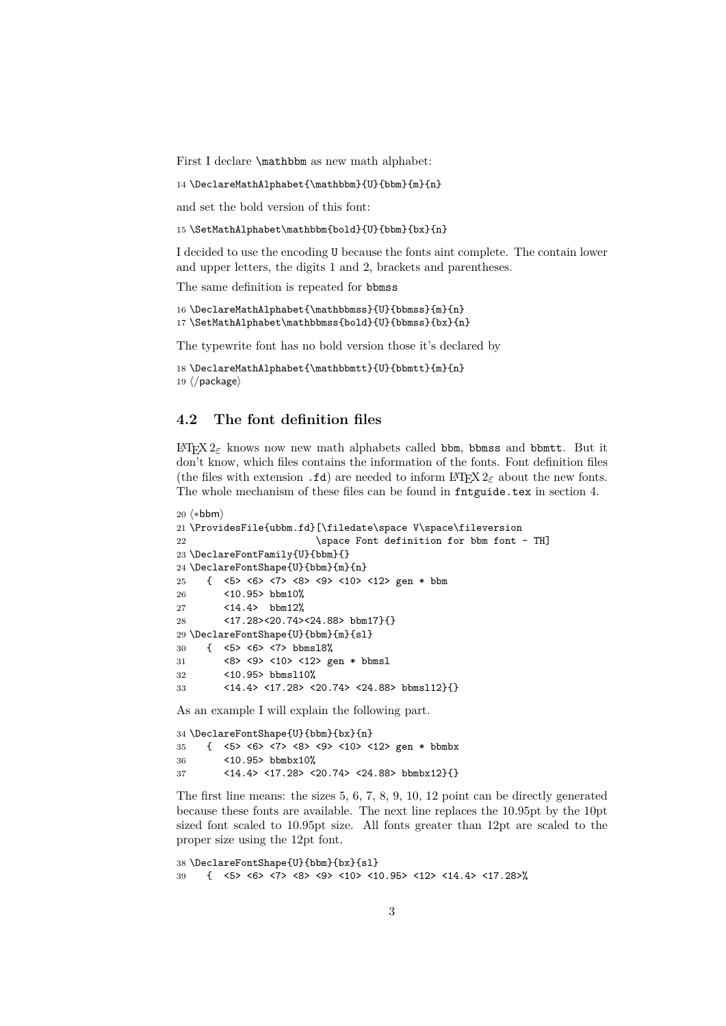First I declare \mathbbm as new math alphabet:

14 \DeclareMathAlphabet{\mathbbm}{U}{bbm}{m}{n}

and set the bold version of this font:

15 \SetMathAlphabet\mathbbm{bold}{U}{bbm}{bx}{n}

I decided to use the encoding U because the fonts aint complete. The contain lower and upper letters, the digits 1 and 2, brackets and parentheses.

The same definition is repeated for bbmss

```
16 \DeclareMathAlphabet{\mathbbmss}{U}{bbmss}{m}{n}
17 \SetMathAlphabet\mathbbmss{bold}{U}{bbmss}{bx}{n}
```
The typewrite font has no bold version those it's declared by

```
18 \DeclareMathAlphabet{\mathbbmtt}{U}{bbmtt}{m}{n}
19 h/packagei
```
#### **4.2 The font definition files**

LATEX 2*ε* knows now new math alphabets called bbm, bbmss and bbmtt. But it don't know, which files contains the information of the fonts. Font definition files (the files with extension .fd) are needed to inform  $\text{LTr} X 2_{\epsilon}$  about the new fonts. The whole mechanism of these files can be found in fntguide.tex in section 4.

```
20 \langle*bbm}
21 \ProvidesFile{ubbm.fd}[\filedate\space V\space\fileversion
22 \space Font definition for bbm font - TH]
23 \DeclareFontFamily{U}{bbm}{}
24 \DeclareFontShape{U}{bbm}{m}{n}
25 { <5> <6> <7> <8> <9> <10> <12> gen * bbm
26 <10.95> bbm10%
27 <14.4> bbm12%
28 <17.28><20.74><24.88> bbm17}{}
29 \DeclareFontShape{U}{bbm}{m}{sl}
30 { <5> <6> <7> bbmsl8%
31 <8> <9> <10> <12> gen * bbmsl
32 <10.95> bbmsl10%
33 <14.4> <17.28> <20.74> <24.88> bbmsl12}{}
```
As an example I will explain the following part.

```
34 \DeclareFontShape{U}{bbm}{bx}{n}
35 { <5> <6> <7> <8> <9> <10> <12> gen * bbmbx
36 <10.95> bbmbx10%
37 <14.4> <17.28> <20.74> <24.88> bbmbx12}{}
```
The first line means: the sizes 5, 6, 7, 8, 9, 10, 12 point can be directly generated because these fonts are available. The next line replaces the 10.95pt by the 10pt sized font scaled to 10.95pt size. All fonts greater than 12pt are scaled to the proper size using the 12pt font.

```
38 \DeclareFontShape{U}{bbm}{bx}{sl}
39 { <5> <6> <7> <8> <9> <10> <10.95> <12> <14.4> <17.28>%
```